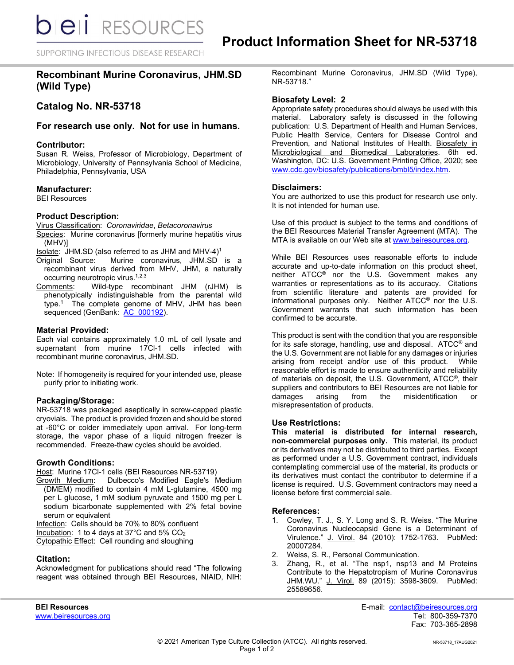SUPPORTING INFECTIOUS DISEASE RESEARCH

# **Recombinant Murine Coronavirus, JHM.SD (Wild Type)**

# **Catalog No. NR-53718**

# **For research use only. Not for use in humans.**

#### **Contributor:**

Susan R. Weiss, Professor of Microbiology, Department of Microbiology, University of Pennsylvania School of Medicine, Philadelphia, Pennsylvania, USA

# **Manufacturer:**

BEI Resources

#### **Product Description:**

Virus Classification: *Coronaviridae*, *Betacoronavirus* Species: Murine coronavirus [formerly murine hepatitis virus

(MHV)]

- <u>Isolate</u>: JHM.SD (also referred to as JHM and MHV-4)<sup>1</sup><br>Original Source: Murine coronavirus, JHM.SD Murine coronavirus, JHM.SD is a recombinant virus derived from MHV, JHM, a naturally occurring neurotropic virus.<sup>1,2,3</sup>
- Comments: Wild-type recombinant JHM (rJHM) is phenotypically indistinguishable from the parental wild type.1 The complete genome of MHV, JHM has been sequenced (GenBank: [AC\\_000192\)](https://www.ncbi.nlm.nih.gov/nuccore/568319712).

#### **Material Provided:**

Each vial contains approximately 1.0 mL of cell lysate and supernatant from murine 17Cl-1 cells infected with recombinant murine coronavirus, JHM.SD.

Note: If homogeneity is required for your intended use, please purify prior to initiating work.

# **Packaging/Storage:**

NR-53718 was packaged aseptically in screw-capped plastic cryovials. The product is provided frozen and should be stored at -60°C or colder immediately upon arrival. For long-term storage, the vapor phase of a liquid nitrogen freezer is recommended. Freeze-thaw cycles should be avoided.

# **Growth Conditions:**

Host: Murine 17Cl-1 cells (BEI Resources NR-53719)

Growth Medium: Dulbecco's Modified Eagle's Medium (DMEM) modified to contain 4 mM L-glutamine, 4500 mg per L glucose, 1 mM sodium pyruvate and 1500 mg per L sodium bicarbonate supplemented with 2% fetal bovine serum or equivalent

Infection: Cells should be 70% to 80% confluent Incubation: 1 to 4 days at 37°C and 5% CO2 Cytopathic Effect: Cell rounding and sloughing

# **Citation:**

Acknowledgment for publications should read "The following reagent was obtained through BEI Resources, NIAID, NIH:

Recombinant Murine Coronavirus, JHM.SD (Wild Type), NR-53718."

# **Biosafety Level: 2**

Appropriate safety procedures should always be used with this material. Laboratory safety is discussed in the following publication: U.S. Department of Health and Human Services, Public Health Service, Centers for Disease Control and Prevention, and National Institutes of Health. Biosafety in Microbiological and Biomedical Laboratories. 6th ed. Washington, DC: U.S. Government Printing Office, 2020; see [www.cdc.gov/biosafety/publications/bmbl5/index.htm.](http://www.cdc.gov/biosafety/publications/bmbl5/index.htm)

#### **Disclaimers:**

You are authorized to use this product for research use only. It is not intended for human use.

Use of this product is subject to the terms and conditions of the BEI Resources Material Transfer Agreement (MTA). The MTA is available on our Web site at [www.beiresources.org.](http://www.beiresources.org/)

While BEI Resources uses reasonable efforts to include accurate and up-to-date information on this product sheet, neither ATCC® nor the U.S. Government makes any warranties or representations as to its accuracy. Citations from scientific literature and patents are provided for informational purposes only. Neither ATCC® nor the U.S. Government warrants that such information has been confirmed to be accurate.

This product is sent with the condition that you are responsible for its safe storage, handling, use and disposal. ATCC® and the U.S. Government are not liable for any damages or injuries arising from receipt and/or use of this product. While reasonable effort is made to ensure authenticity and reliability of materials on deposit, the U.S. Government, ATCC®, their suppliers and contributors to BEI Resources are not liable for damages arising from the misidentification or misrepresentation of products.

#### **Use Restrictions:**

**This material is distributed for internal research, non-commercial purposes only.** This material, its product or its derivatives may not be distributed to third parties. Except as performed under a U.S. Government contract, individuals contemplating commercial use of the material, its products or its derivatives must contact the contributor to determine if a license is required. U.S. Government contractors may need a license before first commercial sale.

#### **References:**

- 1. Cowley, T. J., S. Y. Long and S. R. Weiss. "The Murine Coronavirus Nucleocapsid Gene is a Determinant of Virulence." J. Virol. 84 (2010): 1752-1763. PubMed: 20007284.
- 2. Weiss, S. R., Personal Communication.
- 3. Zhang, R., et al. "The nsp1, nsp13 and M Proteins Contribute to the Hepatotropism of Murine Coronavirus JHM.WU." J. Virol. 89 (2015): 3598-3609. PubMed: 25589656.

**BEI Resources** E-mail: contact@beiresources.org Fax: 703-365-2898